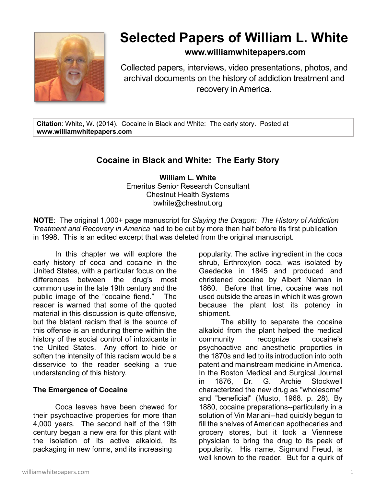

# **Selected Papers of William L. White**

### **www.williamwhitepapers.com**

Collected papers, interviews, video presentations, photos, and archival documents on the history of addiction treatment and recovery in America.

**Citation**: White, W. (2014). Cocaine in Black and White: The early story. Posted at **www.williamwhitepapers.com** 

## **Cocaine in Black and White: The Early Story**

**William L. White**  Emeritus Senior Research Consultant Chestnut Health Systems bwhite@chestnut.org

**NOTE**: The original 1,000+ page manuscript for *Slaying the Dragon: The History of Addiction Treatment and Recovery in America* had to be cut by more than half before its first publication in 1998. This is an edited excerpt that was deleted from the original manuscript.

In this chapter we will explore the early history of coca and cocaine in the United States, with a particular focus on the differences between the drug's most common use in the late 19th century and the public image of the "cocaine fiend." The reader is warned that some of the quoted material in this discussion is quite offensive, but the blatant racism that is the source of this offense is an enduring theme within the history of the social control of intoxicants in the United States. Any effort to hide or soften the intensity of this racism would be a disservice to the reader seeking a true understanding of this history.

#### **The Emergence of Cocaine**

Coca leaves have been chewed for their psychoactive properties for more than 4,000 years. The second half of the 19th century began a new era for this plant with the isolation of its active alkaloid, its packaging in new forms, and its increasing

popularity. The active ingredient in the coca shrub, Erthroxylon coca, was isolated by Gaedecke in 1845 and produced and christened cocaine by Albert Nieman in 1860. Before that time, cocaine was not used outside the areas in which it was grown because the plant lost its potency in shipment.

The ability to separate the cocaine alkaloid from the plant helped the medical community recognize cocaine's psychoactive and anesthetic properties in the 1870s and led to its introduction into both patent and mainstream medicine in America. In the Boston Medical and Surgical Journal in 1876, Dr. G. Archie Stockwell characterized the new drug as "wholesome" and "beneficial" (Musto, 1968. p. 28). By 1880, cocaine preparations--particularly in a solution of Vin Mariani--had quickly begun to fill the shelves of American apothecaries and grocery stores, but it took a Viennese physician to bring the drug to its peak of popularity. His name, Sigmund Freud, is well known to the reader. But for a quirk of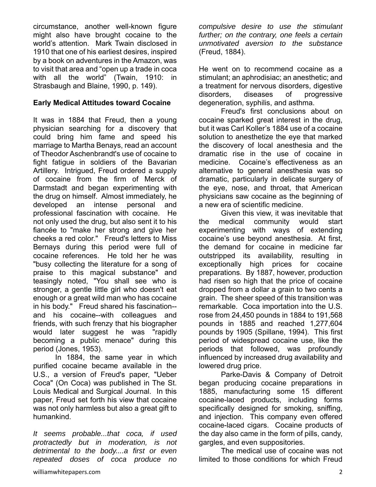circumstance, another well-known figure might also have brought cocaine to the world's attention. Mark Twain disclosed in 1910 that one of his earliest desires, inspired by a book on adventures in the Amazon, was to visit that area and "open up a trade in coca with all the world" (Twain, 1910: in Strasbaugh and Blaine, 1990, p. 149).

#### **Early Medical Attitudes toward Cocaine**

It was in 1884 that Freud, then a young physician searching for a discovery that could bring him fame and speed his marriage to Martha Benays, read an account of Theodor Aschenbrandt's use of cocaine to fight fatigue in soldiers of the Bavarian Artillery. Intrigued, Freud ordered a supply of cocaine from the firm of Merck of Darmstadt and began experimenting with the drug on himself. Almost immediately, he developed an intense personal and professional fascination with cocaine. He not only used the drug, but also sent it to his fiancée to "make her strong and give her cheeks a red color." Freud's letters to Miss Bernays during this period were full of cocaine references. He told her he was "busy collecting the literature for a song of praise to this magical substance" and teasingly noted, "You shall see who is stronger, a gentle little girl who doesn't eat enough or a great wild man who has cocaine in his body." Freud shared his fascination- and his cocaine--with colleagues and friends, with such frenzy that his biographer would later suggest he was "rapidly becoming a public menace" during this period (Jones, 1953).

In 1884, the same year in which purified cocaine became available in the U.S., a version of Freud's paper, "Ueber Coca" (On Coca) was published in The St. Louis Medical and Surgical Journal. In this paper, Freud set forth his view that cocaine was not only harmless but also a great gift to humankind.

*It seems probable...that coca, if used protractedly but in moderation, is not detrimental to the body....a first or even repeated doses of coca produce no*  *compulsive desire to use the stimulant further; on the contrary, one feels a certain unmotivated aversion to the substance* (Freud, 1884).

He went on to recommend cocaine as a stimulant; an aphrodisiac; an anesthetic; and a treatment for nervous disorders, digestive disorders, diseases of progressive degeneration, syphilis, and asthma.

Freud's first conclusions about on cocaine sparked great interest in the drug, but it was Carl Koller's 1884 use of a cocaine solution to anesthetize the eye that marked the discovery of local anesthesia and the dramatic rise in the use of cocaine in medicine. Cocaine's effectiveness as an alternative to general anesthesia was so dramatic, particularly in delicate surgery of the eye, nose, and throat, that American physicians saw cocaine as the beginning of a new era of scientific medicine.

Given this view, it was inevitable that the medical community would start experimenting with ways of extending cocaine's use beyond anesthesia. At first, the demand for cocaine in medicine far outstripped its availability, resulting in exceptionally high prices for cocaine preparations. By 1887, however, production had risen so high that the price of cocaine dropped from a dollar a grain to two cents a grain. The sheer speed of this transition was remarkable. Coca importation into the U.S. rose from 24,450 pounds in 1884 to 191,568 pounds in 1885 and reached 1,277,604 pounds by 1905 (Spillane, 1994). This first period of widespread cocaine use, like the periods that followed, was profoundly influenced by increased drug availability and lowered drug price.

Parke-Davis & Company of Detroit began producing cocaine preparations in 1885, manufacturing some 15 different cocaine-laced products, including forms specifically designed for smoking, sniffing, and injection. This company even offered cocaine-laced cigars. Cocaine products of the day also came in the form of pills, candy, gargles, and even suppositories.

The medical use of cocaine was not limited to those conditions for which Freud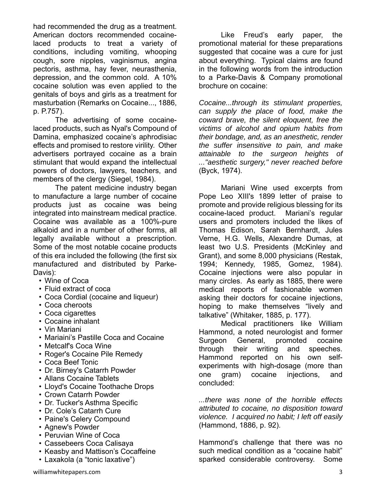had recommended the drug as a treatment. American doctors recommended cocainelaced products to treat a variety of conditions, including vomiting, whooping cough, sore nipples, vaginismus, angina pectoris, asthma, hay fever, neurasthenia, depression, and the common cold. A 10% cocaine solution was even applied to the genitals of boys and girls as a treatment for masturbation (Remarks on Cocaine..., 1886, p. P.757).

The advertising of some cocainelaced products, such as Nyal's Compound of Damina, emphasized cocaine's aphrodisiac effects and promised to restore virility. Other advertisers portrayed cocaine as a brain stimulant that would expand the intellectual powers of doctors, lawyers, teachers, and members of the clergy (Siegel, 1984).

The patent medicine industry began to manufacture a large number of cocaine products just as cocaine was being integrated into mainstream medical practice. Cocaine was available as a 100%-pure alkaloid and in a number of other forms, all legally available without a prescription. Some of the most notable cocaine products of this era included the following (the first six manufactured and distributed by Parke-Davis):

- Wine of Coca
- Fluid extract of coca
- Coca Cordial (cocaine and liqueur)
- Coca cheroots
- Coca cigarettes
- Cocaine inhalant
- Vin Mariani
- Mariaini's Pastille Coca and Cocaine
- Metcalf's Coca Wine
- Roger's Cocaine Pile Remedy
- Coca Beef Tonic
- Dr. Birney's Catarrh Powder
- Allans Cocaine Tablets
- Lloyd's Cocaine Toothache Drops
- Crown Catarrh Powder
- Dr. Tucker's Asthma Specific
- Dr. Cole's Catarrh Cure
- Paine's Celery Compound
- Agnew's Powder
- Peruvian Wine of Coca
- Cassebeers Coca Calisaya
- Keasby and Mattison's Cocaffeine
- Laxakola (a "tonic laxative")

Like Freud's early paper, the promotional material for these preparations suggested that cocaine was a cure for just about everything. Typical claims are found in the following words from the introduction to a Parke-Davis & Company promotional brochure on cocaine:

*Cocaine...through its stimulant properties, can supply the place of food, make the coward brave, the silent eloquent, free the victims of alcohol and opium habits from their bondage, and, as an anesthetic, render the suffer insensitive to pain, and make attainable to the surgeon heights of ..."aesthetic surgery," never reached before* (Byck, 1974).

Mariani Wine used excerpts from Pope Leo XIII's 1899 letter of praise to promote and provide religious blessing for its cocaine-laced product. Mariani's regular users and promoters included the likes of Thomas Edison, Sarah Bernhardt, Jules Verne, H.G. Wells, Alexandre Dumas, at least two U.S. Presidents (McKinley and Grant), and some 8,000 physicians (Restak, 1994; Kennedy, 1985, Gomez, 1984). Cocaine injections were also popular in many circles. As early as 1885, there were medical reports of fashionable women asking their doctors for cocaine injections, hoping to make themselves "lively and talkative" (Whitaker, 1885, p. 177).

Medical practitioners like William Hammond, a noted neurologist and former Surgeon General, promoted cocaine through their writing and speeches. Hammond reported on his own selfexperiments with high-dosage (more than one gram) cocaine injections, and concluded:

*...there was none of the horrible effects attributed to cocaine, no disposition toward violence. I acquired no habit; I left off easily* (Hammond, 1886, p. 92).

Hammond's challenge that there was no such medical condition as a "cocaine habit" sparked considerable controversy. Some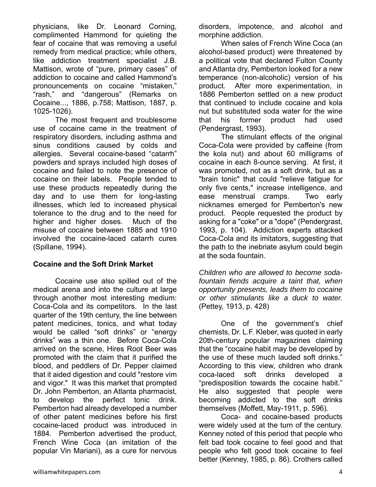physicians, like Dr. Leonard Corning, complimented Hammond for quieting the fear of cocaine that was removing a useful remedy from medical practice; while others, like addiction treatment specialist J.B. Mattison, wrote of "pure, primary cases" of addiction to cocaine and called Hammond's pronouncements on cocaine "mistaken," "rash," and "dangerous" (Remarks on Cocaine..., 1886, p.758; Mattison, 1887, p. 1025-1026).

The most frequent and troublesome use of cocaine came in the treatment of respiratory disorders, including asthma and sinus conditions caused by colds and allergies. Several cocaine-based "catarrh" powders and sprays included high doses of cocaine and failed to note the presence of cocaine on their labels. People tended to use these products repeatedly during the day and to use them for long-lasting illnesses, which led to increased physical tolerance to the drug and to the need for higher and higher doses. Much of the misuse of cocaine between 1885 and 1910 involved the cocaine-laced catarrh cures (Spillane, 1994).

#### **Cocaine and the Soft Drink Market**

Cocaine use also spilled out of the medical arena and into the culture at large through another most interesting medium: Coca-Cola and its competitors. In the last quarter of the 19th century, the line between patent medicines, tonics, and what today would be called "soft drinks" or "energy drinks" was a thin one. Before Coca-Cola arrived on the scene, Hires Root Beer was promoted with the claim that it purified the blood, and peddlers of Dr. Pepper claimed that it aided digestion and could "restore vim and vigor." It was this market that prompted Dr. John Pemberton, an Atlanta pharmacist, to develop the perfect tonic drink. Pemberton had already developed a number of other patent medicines before his first cocaine-laced product was introduced in 1884. Pemberton advertised the product, French Wine Coca (an imitation of the popular Vin Mariani), as a cure for nervous

disorders, impotence, and alcohol and morphine addiction.

When sales of French Wine Coca (an alcohol-based product) were threatened by a political vote that declared Fulton County and Atlanta dry, Pemberton looked for a new temperance (non-alcoholic) version of his product. After more experimentation, in 1886 Pemberton settled on a new product that continued to include cocaine and kola nut but substituted soda water for the wine that his former product had used (Pendergrast, 1993).

The stimulant effects of the original Coca-Cola were provided by caffeine (from the kola nut) and about 60 milligrams of cocaine in each 8-ounce serving. At first, it was promoted, not as a soft drink, but as a "brain tonic" that could "relieve fatigue for only five cents," increase intelligence, and ease menstrual cramps. Two early nicknames emerged for Pemberton's new product. People requested the product by asking for a "coke" or a "dope" (Pendergrast, 1993, p. 104). Addiction experts attacked Coca-Cola and its imitators, suggesting that the path to the inebriate asylum could begin at the soda fountain.

*Children who are allowed to become sodafountain fiends acquire a taint that, when opportunity presents, leads them to cocaine or other stimulants like a duck to water.* (Pettey, 1913, p. 428)

One of the government's chief chemists, Dr. L.F. Kleber, was quoted in early 20th-century popular magazines claiming that the "cocaine habit may be developed by the use of these much lauded soft drinks." According to this view, children who drank coca-laced soft drinks developed a "predisposition towards the cocaine habit." He also suggested that people were becoming addicted to the soft drinks themselves (Moffett, May-1911, p. 596).

Coca- and cocaine-based products were widely used at the turn of the century. Kenney noted of this period that people who felt bad took cocaine to feel good and that people who felt good took cocaine to feel better (Kenney, 1985, p. 86). Crothers called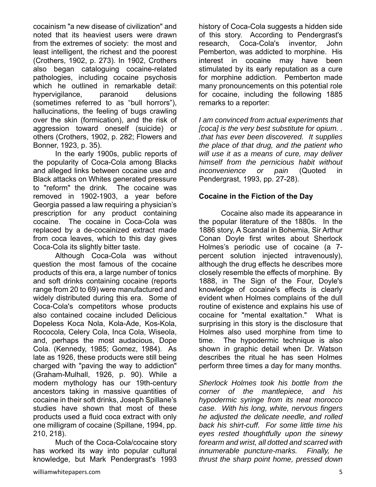cocainism "a new disease of civilization" and noted that its heaviest users were drawn from the extremes of society: the most and least intelligent, the richest and the poorest (Crothers, 1902, p. 273). In 1902, Crothers also began cataloguing cocaine-related pathologies, including cocaine psychosis which he outlined in remarkable detail: hypervigilance, paranoid delusions (sometimes referred to as "bull horrors"), hallucinations, the feeling of bugs crawling over the skin (formication), and the risk of aggression toward oneself (suicide) or others (Crothers, 1902, p. 282; Flowers and Bonner, 1923, p. 35).

In the early 1900s, public reports of the popularity of Coca-Cola among Blacks and alleged links between cocaine use and Black attacks on Whites generated pressure to "reform" the drink. The cocaine was removed in 1902-1903, a year before Georgia passed a law requiring a physician's prescription for any product containing cocaine. The cocaine in Coca-Cola was replaced by a de-cocainized extract made from coca leaves, which to this day gives Coca-Cola its slightly bitter taste.

Although Coca-Cola was without question the most famous of the cocaine products of this era, a large number of tonics and soft drinks containing cocaine (reports range from 20 to 69) were manufactured and widely distributed during this era. Some of Coca-Cola's competitors whose products also contained cocaine included Delicious Dopeless Koca Nola, Kola-Ade, Kos-Kola, Rococola, Celery Cola, Inca Cola, Wiseola, and, perhaps the most audacious, Dope Cola. (Kennedy, 1985; Gomez, 1984). As late as 1926, these products were still being charged with "paving the way to addiction" (Graham-Mulhall, 1926, p. 90). While a modern mythology has our 19th-century ancestors taking in massive quantities of cocaine in their soft drinks, Joseph Spillane's studies have shown that most of these products used a fluid coca extract with only one milligram of cocaine (Spillane, 1994, pp. 210, 218).

Much of the Coca-Cola/cocaine story has worked its way into popular cultural knowledge, but Mark Pendergrast's 1993

history of Coca-Cola suggests a hidden side of this story. According to Pendergrast's research, Coca-Cola's inventor, John Pemberton, was addicted to morphine. His interest in cocaine may have been stimulated by its early reputation as a cure for morphine addiction. Pemberton made many pronouncements on this potential role for cocaine, including the following 1885 remarks to a reporter:

*I am convinced from actual experiments that [coca] is the very best substitute for opium. . .that has ever been discovered. It supplies the place of that drug, and the patient who will use it as a means of cure, may deliver himself from the pernicious habit without inconvenience or pain* (Quoted in Pendergrast, 1993, pp. 27-28).

#### **Cocaine in the Fiction of the Day**

Cocaine also made its appearance in the popular literature of the 1880s. In the 1886 story, A Scandal in Bohemia, Sir Arthur Conan Doyle first writes about Sherlock Holmes's periodic use of cocaine (a 7 percent solution injected intravenously), although the drug effects he describes more closely resemble the effects of morphine. By 1888, in The Sign of the Four, Doyle's knowledge of cocaine's effects is clearly evident when Holmes complains of the dull routine of existence and explains his use of cocaine for "mental exaltation." What is surprising in this story is the disclosure that Holmes also used morphine from time to time. The hypodermic technique is also shown in graphic detail when Dr. Watson describes the ritual he has seen Holmes perform three times a day for many months.

*Sherlock Holmes took his bottle from the corner of the mantlepiece, and his hypodermic syringe from its neat morocco case. With his long, white, nervous fingers he adjusted the delicate needle, and rolled back his shirt-cuff. For some little time his eyes rested thoughtfully upon the sinewy forearm and wrist, all dotted and scarred with innumerable puncture-marks. Finally, he thrust the sharp point home, pressed down*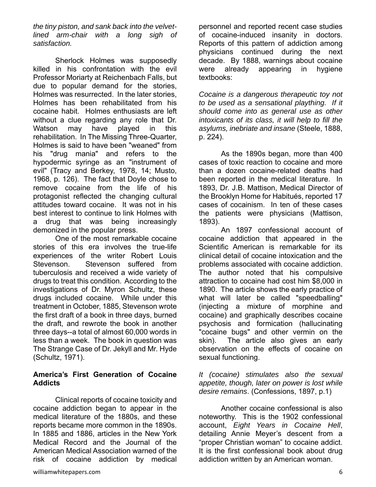*the tiny piston, and sank back into the velvetlined arm-chair with a long sigh of satisfaction.* 

Sherlock Holmes was supposedly killed in his confrontation with the evil Professor Moriarty at Reichenbach Falls, but due to popular demand for the stories, Holmes was resurrected. In the later stories, Holmes has been rehabilitated from his cocaine habit. Holmes enthusiasts are left without a clue regarding any role that Dr. Watson may have played in this rehabilitation. In The Missing Three-Quarter, Holmes is said to have been "weaned" from his "drug mania" and refers to the hypodermic syringe as an "instrument of evil" (Tracy and Berkey, 1978, 14; Musto, 1968, p. 126). The fact that Doyle chose to remove cocaine from the life of his protagonist reflected the changing cultural attitudes toward cocaine. It was not in his best interest to continue to link Holmes with a drug that was being increasingly demonized in the popular press.

One of the most remarkable cocaine stories of this era involves the true-life experiences of the writer Robert Louis Stevenson. Stevenson suffered from tuberculosis and received a wide variety of drugs to treat this condition. According to the investigations of Dr. Myron Schultz, these drugs included cocaine. While under this treatment in October, 1885, Stevenson wrote the first draft of a book in three days, burned the draft, and rewrote the book in another three days--a total of almost 60,000 words in less than a week. The book in question was The Strange Case of Dr. Jekyll and Mr. Hyde (Schultz, 1971).

#### **America's First Generation of Cocaine Addicts**

Clinical reports of cocaine toxicity and cocaine addiction began to appear in the medical literature of the 1880s, and these reports became more common in the 1890s. In 1885 and 1886, articles in the New York Medical Record and the Journal of the American Medical Association warned of the risk of cocaine addiction by medical personnel and reported recent case studies of cocaine-induced insanity in doctors. Reports of this pattern of addiction among physicians continued during the next decade. By 1888, warnings about cocaine were already appearing in hygiene textbooks:

*Cocaine is a dangerous therapeutic toy not to be used as a sensational plaything. If it should come into as general use as other intoxicants of its class, it will help to fill the asylums, inebriate and insane* (Steele, 1888, p. 224).

As the 1890s began, more than 400 cases of toxic reaction to cocaine and more than a dozen cocaine-related deaths had been reported in the medical literature. In 1893, Dr. J.B. Mattison, Medical Director of the Brooklyn Home for Habitués, reported 17 cases of cocainism. In ten of these cases the patients were physicians (Mattison, 1893).

An 1897 confessional account of cocaine addiction that appeared in the Scientific American is remarkable for its clinical detail of cocaine intoxication and the problems associated with cocaine addiction. The author noted that his compulsive attraction to cocaine had cost him \$8,000 in 1890. The article shows the early practice of what will later be called "speedballing" (injecting a mixture of morphine and cocaine) and graphically describes cocaine psychosis and formication (hallucinating "cocaine bugs" and other vermin on the skin). The article also gives an early observation on the effects of cocaine on sexual functioning.

*It (cocaine) stimulates also the sexual appetite, though, later on power is lost while desire remains*. (Confessions, 1897, p.1)

Another cocaine confessional is also noteworthy. This is the 1902 confessional account, *Eight Years in Cocaine Hell*, detailing Annie Meyer's descent from a "proper Christian woman" to cocaine addict. It is the first confessional book about drug addiction written by an American woman.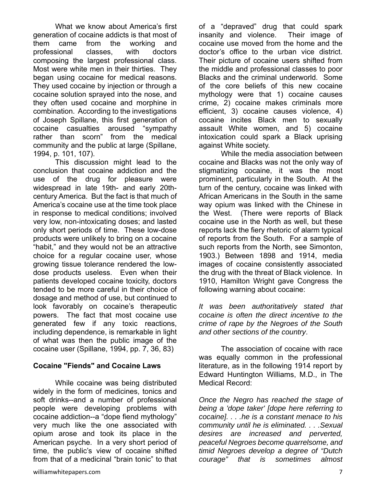What we know about America's first generation of cocaine addicts is that most of them came from the working and professional classes, with doctors composing the largest professional class. Most were white men in their thirties. They began using cocaine for medical reasons. They used cocaine by injection or through a cocaine solution sprayed into the nose, and they often used cocaine and morphine in combination. According to the investigations of Joseph Spillane, this first generation of cocaine casualties aroused "sympathy rather than scorn" from the medical community and the public at large (Spillane, 1994, p. 101, 107).

This discussion might lead to the conclusion that cocaine addiction and the use of the drug for pleasure were widespread in late 19th- and early 20thcentury America. But the fact is that much of America's cocaine use at the time took place in response to medical conditions; involved very low, non-intoxicating doses; and lasted only short periods of time. These low-dose products were unlikely to bring on a cocaine "habit," and they would not be an attractive choice for a regular cocaine user, whose growing tissue tolerance rendered the lowdose products useless. Even when their patients developed cocaine toxicity, doctors tended to be more careful in their choice of dosage and method of use, but continued to look favorably on cocaine's therapeutic powers. The fact that most cocaine use generated few if any toxic reactions, including dependence, is remarkable in light of what was then the public image of the cocaine user (Spillane, 1994, pp. 7, 36, 83)

#### **Cocaine "Fiends" and Cocaine Laws**

While cocaine was being distributed widely in the form of medicines, tonics and soft drinks--and a number of professional people were developing problems with cocaine addiction--a "dope fiend mythology" very much like the one associated with opium arose and took its place in the American psyche. In a very short period of time, the public's view of cocaine shifted from that of a medicinal "brain tonic" to that of a "depraved" drug that could spark insanity and violence. Their image of cocaine use moved from the home and the doctor's office to the urban vice district. Their picture of cocaine users shifted from the middle and professional classes to poor Blacks and the criminal underworld. Some of the core beliefs of this new cocaine mythology were that 1) cocaine causes crime, 2) cocaine makes criminals more efficient, 3) cocaine causes violence, 4) cocaine incites Black men to sexually assault White women, and 5) cocaine intoxication could spark a Black uprising against White society.

 While the media association between cocaine and Blacks was not the only way of stigmatizing cocaine, it was the most prominent, particularly in the South. At the turn of the century, cocaine was linked with African Americans in the South in the same way opium was linked with the Chinese in the West. (There were reports of Black cocaine use in the North as well, but these reports lack the fiery rhetoric of alarm typical of reports from the South. For a sample of such reports from the North, see Simonton, 1903.) Between 1898 and 1914, media images of cocaine consistently associated the drug with the threat of Black violence. In 1910, Hamilton Wright gave Congress the following warning about cocaine:

*It was been authoritatively stated that cocaine is often the direct incentive to the crime of rape by the Negroes of the South and other sections of the country*.

The association of cocaine with race was equally common in the professional literature, as in the following 1914 report by Edward Huntington Williams, M.D., in The Medical Record:

*Once the Negro has reached the stage of being a 'dope taker' [dope here referring to cocaine]. . . .he is a constant menace to his community until he is eliminated. . . .Sexual desires are increased and perverted, peaceful Negroes become quarrelsome, and timid Negroes develop a degree of "Dutch courage" that is sometimes almost*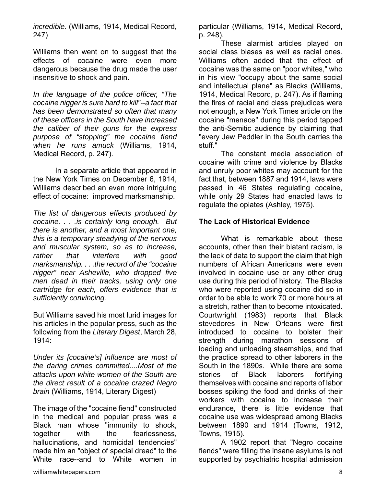*incredible*. (Williams, 1914, Medical Record, 247)

Williams then went on to suggest that the effects of cocaine were even more dangerous because the drug made the user insensitive to shock and pain.

*In the language of the police officer, "The cocaine nigger is sure hard to kill"--a fact that has been demonstrated so often that many of these officers in the South have increased the caliber of their guns for the express purpose of "stopping" the cocaine fiend when he runs amuck* (Williams, 1914, Medical Record, p. 247).

In a separate article that appeared in the New York Times on December 6, 1914, Williams described an even more intriguing effect of cocaine: improved marksmanship.

*The list of dangerous effects produced by cocaine. . . .is certainly long enough. But there is another, and a most important one, this is a temporary steadying of the nervous and muscular system, so as to increase, rather that interfere with good marksmanship. . . .the record of the "cocaine nigger" near Asheville, who dropped five men dead in their tracks, using only one cartridge for each, offers evidence that is sufficiently convincing.* 

But Williams saved his most lurid images for his articles in the popular press, such as the following from the *Literary Digest*, March 28, 1914:

*Under its [cocaine's] influence are most of the daring crimes committed....Most of the attacks upon white women of the South are the direct result of a cocaine crazed Negro brain* (Williams, 1914, Literary Digest)

The image of the "cocaine fiend" constructed in the medical and popular press was a Black man whose "immunity to shock, together with the fearlessness, hallucinations, and homicidal tendencies" made him an "object of special dread" to the White race--and to White women in particular (Williams, 1914, Medical Record, p. 248).

These alarmist articles played on social class biases as well as racial ones. Williams often added that the effect of cocaine was the same on "poor whites," who in his view "occupy about the same social and intellectual plane" as Blacks (Williams, 1914, Medical Record, p. 247). As if flaming the fires of racial and class prejudices were not enough, a New York Times article on the cocaine "menace" during this period tapped the anti-Semitic audience by claiming that "every Jew Peddler in the South carries the stuff."

 The constant media association of cocaine with crime and violence by Blacks and unruly poor whites may account for the fact that, between 1887 and 1914, laws were passed in 46 States regulating cocaine, while only 29 States had enacted laws to regulate the opiates (Ashley, 1975).

#### **The Lack of Historical Evidence**

What is remarkable about these accounts, other than their blatant racism, is the lack of data to support the claim that high numbers of African Americans were even involved in cocaine use or any other drug use during this period of history. The Blacks who were reported using cocaine did so in order to be able to work 70 or more hours at a stretch, rather than to become intoxicated. Courtwright (1983) reports that Black stevedores in New Orleans were first introduced to cocaine to bolster their strength during marathon sessions of loading and unloading steamships, and that the practice spread to other laborers in the South in the 1890s. While there are some stories of Black laborers fortifying themselves with cocaine and reports of labor bosses spiking the food and drinks of their workers with cocaine to increase their endurance, there is little evidence that cocaine use was widespread among Blacks between 1890 and 1914 (Towns, 1912, Towns, 1915).

A 1902 report that "Negro cocaine fiends" were filling the insane asylums is not supported by psychiatric hospital admission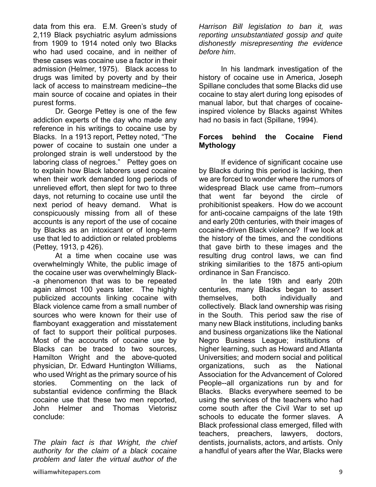data from this era. E.M. Green's study of 2,119 Black psychiatric asylum admissions from 1909 to 1914 noted only two Blacks who had used cocaine, and in neither of these cases was cocaine use a factor in their admission (Helmer, 1975). Black access to drugs was limited by poverty and by their lack of access to mainstream medicine--the main source of cocaine and opiates in their purest forms.

Dr. George Pettey is one of the few addiction experts of the day who made any reference in his writings to cocaine use by Blacks. In a 1913 report, Pettey noted, "The power of cocaine to sustain one under a prolonged strain is well understood by the laboring class of negroes." Pettey goes on to explain how Black laborers used cocaine when their work demanded long periods of unrelieved effort, then slept for two to three days, not returning to cocaine use until the next period of heavy demand. What is conspicuously missing from all of these accounts is any report of the use of cocaine by Blacks as an intoxicant or of long-term use that led to addiction or related problems (Pettey, 1913, p 426).

At a time when cocaine use was overwhelmingly White, the public image of the cocaine user was overwhelmingly Black- -a phenomenon that was to be repeated again almost 100 years later. The highly publicized accounts linking cocaine with Black violence came from a small number of sources who were known for their use of flamboyant exaggeration and misstatement of fact to support their political purposes. Most of the accounts of cocaine use by Blacks can be traced to two sources, Hamilton Wright and the above-quoted physician, Dr. Edward Huntington Williams, who used Wright as the primary source of his stories. Commenting on the lack of substantial evidence confirming the Black cocaine use that these two men reported, John Helmer and Thomas Vietorisz conclude:

*The plain fact is that Wright, the chief authority for the claim of a black cocaine problem and later the virtual author of the* 

*Harrison Bill legislation to ban it, was reporting unsubstantiated gossip and quite dishonestly misrepresenting the evidence before him*.

In his landmark investigation of the history of cocaine use in America, Joseph Spillane concludes that some Blacks did use cocaine to stay alert during long episodes of manual labor, but that charges of cocaineinspired violence by Blacks against Whites had no basis in fact (Spillane, 1994).

#### **Forces behind the Cocaine Fiend Mythology**

If evidence of significant cocaine use by Blacks during this period is lacking, then we are forced to wonder where the rumors of widespread Black use came from--rumors that went far beyond the circle of prohibitionist speakers. How do we account for anti-cocaine campaigns of the late 19th and early 20th centuries, with their images of cocaine-driven Black violence? If we look at the history of the times, and the conditions that gave birth to these images and the resulting drug control laws, we can find striking similarities to the 1875 anti-opium ordinance in San Francisco.

In the late 19th and early 20th centuries, many Blacks began to assert themselves, both individually and collectively. Black land ownership was rising in the South. This period saw the rise of many new Black institutions, including banks and business organizations like the National Negro Business League; institutions of higher learning, such as Howard and Atlanta Universities; and modern social and political organizations, such as the National Association for the Advancement of Colored People--all organizations run by and for Blacks. Blacks everywhere seemed to be using the services of the teachers who had come south after the Civil War to set up schools to educate the former slaves. A Black professional class emerged, filled with teachers, preachers, lawyers, doctors, dentists, journalists, actors, and artists. Only a handful of years after the War, Blacks were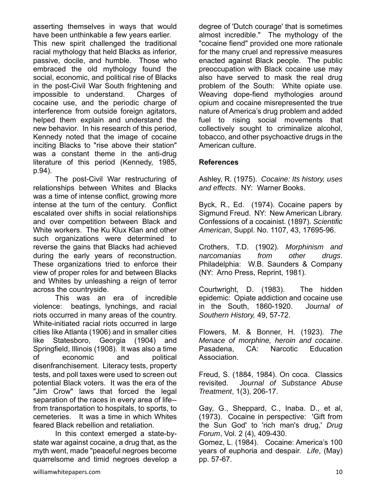asserting themselves in ways that would have been unthinkable a few years earlier.

This new spirit challenged the traditional racial mythology that held Blacks as inferior, passive, docile, and humble. Those who embraced the old mythology found the social, economic, and political rise of Blacks in the post-Civil War South frightening and impossible to understand. Charges of cocaine use, and the periodic charge of interference from outside foreign agitators, helped them explain and understand the new behavior. In his research of this period, Kennedy noted that the image of cocaine inciting Blacks to "rise above their station" was a constant theme in the anti-drug literature of this period (Kennedy, 1985, p.94).

The post-Civil War restructuring of relationships between Whites and Blacks was a time of intense conflict, growing more intense at the turn of the century. Conflict escalated over shifts in social relationships and over competition between Black and White workers. The Ku Klux Klan and other such organizations were determined to reverse the gains that Blacks had achieved during the early years of reconstruction. These organizations tried to enforce their view of proper roles for and between Blacks and Whites by unleashing a reign of terror across the countryside.

This was an era of incredible violence: beatings, lynchings, and racial riots occurred in many areas of the country. White-initiated racial riots occurred in large cities like Atlanta (1906) and in smaller cities like Statesboro, Georgia (1904) and Springfield, Illinois (1908). It was also a time of economic and political disenfranchisement. Literacy tests, property tests, and poll taxes were used to screen out potential Black voters. It was the era of the "Jim Crow" laws that forced the legal separation of the races in every area of life- from transportation to hospitals, to sports, to cemeteries. It was a time in which Whites feared Black rebellion and retaliation.

In this context emerged a state-bystate war against cocaine, a drug that, as the myth went, made "peaceful negroes become quarrelsome and timid negroes develop a degree of 'Dutch courage' that is sometimes almost incredible." The mythology of the "cocaine fiend" provided one more rationale for the many cruel and repressive measures enacted against Black people. The public preoccupation with Black cocaine use may also have served to mask the real drug problem of the South: White opiate use. Weaving dope-fiend mythologies around opium and cocaine misrepresented the true nature of America's drug problem and added fuel to rising social movements that collectively sought to criminalize alcohol, tobacco, and other psychoactive drugs in the American culture.

#### **References**

Ashley, R. (1975). *Cocaine: Its history, uses and effects*. NY: Warner Books.

Byck, R., Ed. (1974). Cocaine papers by Sigmund Freud. NY: New American Library. Confessions of a cocainist. (1897). *Scientific American*, Suppl. No. 1107, 43, 17695-96.

Crothers, T.D. (1902). *Morphinism and narcomanias from other drugs*. Philadelphia: W.B. Saunders & Company (NY: Arno Press, Reprint, 1981).

Courtwright, D. (1983). The hidden epidemic: Opiate addiction and cocaine use in the South, 1860-1920. *Journal of Southern History,* 49, 57-72.

Flowers, M. & Bonner, H. (1923). *The Menace of morphine, heroin and cocaine*. Pasadena, CA: Narcotic Education Association.

Freud, S. (1884, 1984). On coca. Classics revisited. *Journal of Substance Abuse Treatment*, 1(3), 206-17.

Gay, G., Sheppard, C., Inaba. D., et al, (1973). Cocaine in perspective: 'Gift from the Sun God' to 'rich man's drug,' *Drug Forum*, Vol. 2 (4), 409-430.

Gomez, L. (1984). Cocaine: America's 100 years of euphoria and despair. *Life*, (May) pp. 57-67.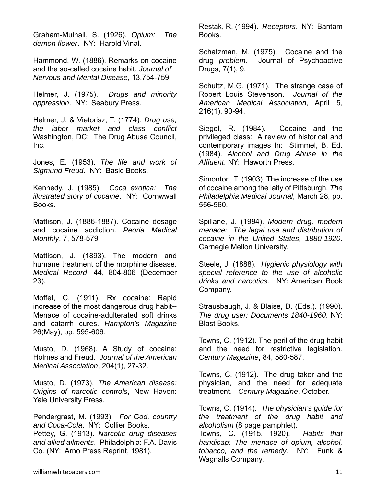Graham-Mulhall, S. (1926). *Opium: The demon flower*. NY: Harold Vinal.

Hammond, W. (1886). Remarks on cocaine and the so-called cocaine habit. *Journal of Nervous and Mental Disease*, 13,754-759.

Helmer, J. (1975). *Drugs and minority oppression*. NY: Seabury Press.

Helmer, J. & Vietorisz, T. (1774). *Drug use, the labor market and class conflict* Washington, DC: The Drug Abuse Council, Inc.

Jones, E. (1953). *The life and work of Sigmund Freud*. NY: Basic Books.

Kennedy, J. (1985). *Coca exotica: The illustrated story of cocaine*. NY: Cornwwall **Books** 

Mattison, J. (1886-1887). Cocaine dosage and cocaine addiction. *Peoria Medical Monthly*, 7, 578-579

Mattison, J. (1893). The modern and humane treatment of the morphine disease. *Medical Record*, 44, 804-806 (December 23).

Moffet, C. (1911). Rx cocaine: Rapid increase of the most dangerous drug habit-- Menace of cocaine-adulterated soft drinks and catarrh cures. *Hampton's Magazine* 26(May), pp. 595-606.

Musto, D. (1968). A Study of cocaine: Holmes and Freud. *Journal of the American Medical Association*, 204(1), 27-32.

Musto, D. (1973). *The American disease: Origins of narcotic controls*, New Haven: Yale University Press.

Pendergrast, M. (1993). *For God, country and Coca-Cola*. NY: Collier Books. Pettey, G. (1913). *Narcotic drug diseases and allied ailments*. Philadelphia: F.A. Davis Co. (NY: Arno Press Reprint, 1981).

Restak, R. (1994). *Receptors*. NY: Bantam Books.

Schatzman, M. (1975). Cocaine and the drug *problem.* Journal of Psychoactive Drugs, 7(1), 9.

Schultz, M.G. (1971). The strange case of Robert Louis Stevenson. *Journal of the American Medical Association*, April 5, 216(1), 90-94.

Siegel, R. (1984). Cocaine and the privileged class: A review of historical and contemporary images In: Stimmel, B. Ed. (1984). *Alcohol and Drug Abuse in the Affluent*. NY: Haworth Press.

Simonton, T. (1903), The increase of the use of cocaine among the laity of Pittsburgh, *The Philadelphia Medical Journal*, March 28, pp. 556-560.

Spillane, J. (1994). *Modern drug, modern menace: The legal use and distribution of cocaine in the United States, 1880-1920*. Carnegie Mellon University.

Steele, J. (1888). *Hygienic physiology with special reference to the use of alcoholic drinks and narcotics.* NY: American Book Company.

Strausbaugh, J. & Blaise, D. (Eds.). (1990). *The drug user: Documents 1840-1960*. NY: Blast Books.

Towns, C. (1912). The peril of the drug habit and the need for restrictive legislation. *Century Magazine*, 84, 580-587.

Towns, C. (1912). The drug taker and the physician, and the need for adequate treatment. *Century Magazine*, October.

Towns, C. (1914). *The physician's guide for the treatment of the drug habit and alcoholism* (8 page pamphlet). Towns, C. (1915, 1920). *Habits that handicap: The menace of opium, alcohol,* 

*tobacco, and the remedy*. NY: Funk &

Wagnalls Company.